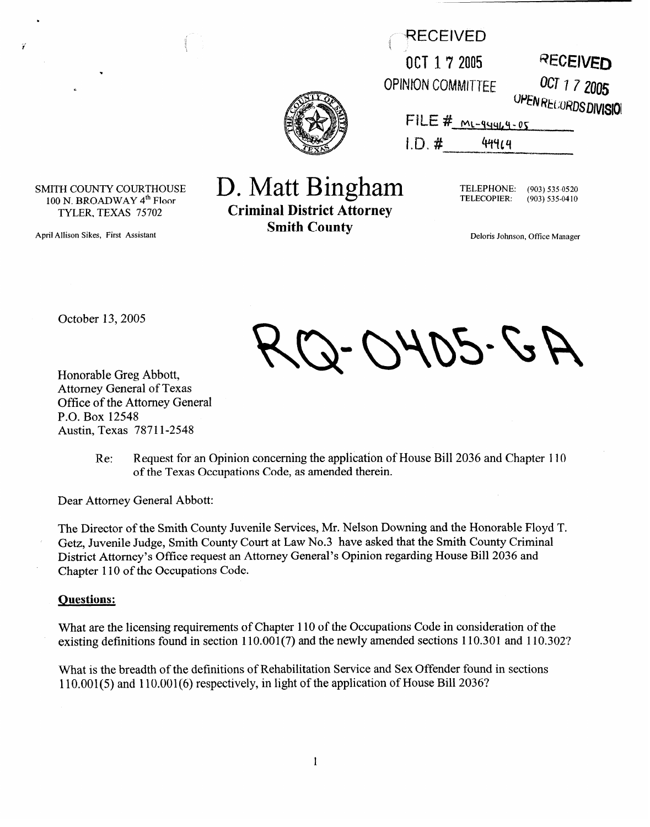| RECEIVED                 |                                       |
|--------------------------|---------------------------------------|
| OCT 17 2005              | <b>RECEIVED</b>                       |
| <b>OPINION COMMITTEE</b> | OCT 1 7 2005<br>OPEN RECORDS DIVISION |
| $FILE # M1-94944-05$     |                                       |
| 1.0, #<br>414            |                                       |
|                          |                                       |



April Allison Sikes, First Assistant

ÿ

# D. Matt Bingham

**Criminal District Attorney Smith County** 

TELEPHONE: **(903) 535-0520**  TELECOPIER: **(903)535-0410** 

Deloris Johnson, Office Manager

October 13,2005

D-0405-GA

Honorable Greg Abbott, Attorney General of Texas Office of the Attorney General P.O. Box 12548 Austin, Texas 78711-2548

> Re: Request for an Opinion concerning the application of House Bill 2036 and Chapter 110 of the Texas Occupations Code, as amended therein.

Dear Attorney General Abbott:

The Director of the Smith County Juvenile Services, Mr. Nelson Downing and the Honorable Floyd T.<br>Getz, Juvenile Judge, Smith County Court at Law No.3 have asked that the Smith County Criminal Getz, Juvenile Judge, Smith County Court at Law No.3 have asked that the Smith County Criminal District Attorney's Office request an Attorney General's Opinion regarding House Bin 2036 and Chapter 110 of the Occupations Code.

#### **Ouestions:**

What are the heensing requirements of Chapter 110 of the Occupations Code in consideration of the<br>existing definitions found in section 110 001(7) and the newly emended sections 110 201 and 110 20  $\alpha$ isting definitions found in section  $110.001(7)$  and the newly amended sections  $110.301$  and  $110.302$ ?

What is the breadth of the definitions of Rehabilitation Service and Sex Offender found in sections<br>110.001(5) and 110.001(6) geometrically in light of the emploration of House Bill 20262  $\lim_{\epsilon \to 0}$  and  $\lim_{\epsilon \to 0}$  respectively, in light of the application of House Bill 2006?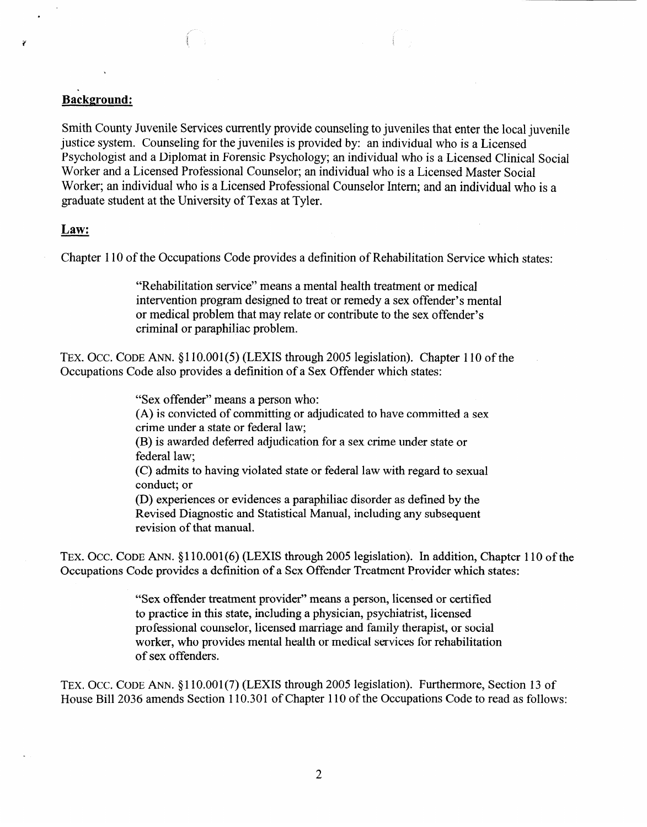# I'

# **Background:**

Smith County Juvenile Services currently provide counseling to juveniles that enter the local juvenile justice system. Counseling for the juveniles is provided by: an individual who is a Licensed Psychologist and a Diplomat in Forensic Psychology; an individual who is a Licensed Clinical Social Worker and a Licensed Professional Counselor; an individual who is a Licensed Master Social Worker; an individual who is a Licensed Professional Counselor Intern; and an individual who is a graduate student at the University of Texas at Tyler.

## **Law:**

Chapter 110 of the Occupations Code provides a definition of Rehabilitation Service which states:

"Rehabilitation service" means a mental health treatment or medical intervention program designed to treat or remedy a sex offender's mental or medical problem that may relate or contribute to the sex offender's criminal or paraphiliac problem.

TEX. OCC. CODE ANN. §110.001(5) (LEXIS through 2005 legislation). Chapter 110 of the Occupations Code also provides a definition of a Sex Offender which states:

"Sex offender" means a person who:

(A) is convicted of committing or adjudicated to have committed a sex crime under a state or federal law;

(B) is awarded deferred adjudication for a sex crime under state or federal law;

(C) admits to having violated state or federal law with regard to sexual conduct; or

(D) experiences or evidences a paraphiliac disorder as defined by the Revised Diagnostic and Statistical Manual, including any subsequent revision of that manual.

TEX. OCC. CODE ANN. §110.001(6) (LEXIS through 2005 legislation). In addition, Chapter 110 of the Occupations Code provides a definition of a Sex Offender Treatment Provider which states:

> "Sex offender treatment provider" means a person, licensed or certified to practice in this state, including a physician, psychiatrist, licensed professional counselor, licensed marriage and family therapist, or social worker, who provides mental health or medical services for rehabilitation of sex offenders.

TEX. OCC. CODE ANN. §110.001(7) (LEXIS through 2005 legislation). Furthermore, Section 13 of House Bill 2036 amends Section 110.301 of Chapter 110 of the Occupations Code to read as follows: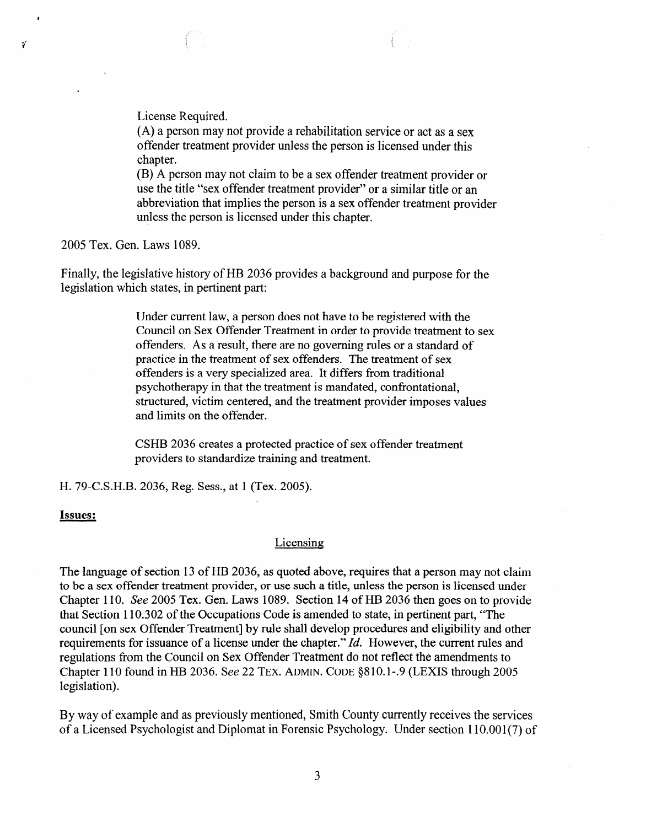License Required.

(A) a person may not provide a rehabilitation service or act as a sex offender treatment provider unless the person is licensed under this chapter.

(B) A person may not claim to be a sex offender treatment provider or use the title "sex offender treatment provider" or a similar title or an abbreviation that implies the person is a sex offender treatment provider unless the person is licensed under this chapter.

**2005** Tex. Gen. Laws 1089.

V

Finally, the legislative history of HB 2036 provides a background and purpose for the legislation which states, in pertinent part:

> Under current law, a person does not have to be registered with the Council on Sex Offender Treatment in order to provide treatment to sex offenders. As a result, there are no governing rules or a standard of practice in the treatment of sex offenders. The treatment of sex offenders is a very specialized area. It differs from traditional psychotherapy in that the treatment is mandated, confrontational, structured, victim centered, and the treatment provider imposes values and limits on the offender.

CSHB 2036 creates a protected practice of sex offender treatment providers to standardize training and treatment.

H. 79-C.S.H.B. 2036, Reg. Sess., at 1 (Tex. 2005).

#### **Issues:**

#### Licensing

The language of section 13 of HB 2036, as quoted above, requires that a person may not claim to be a sex offender treatment provider, or use such a title, unless the person is licensed under Chapter I 10. See 2005 Tex. Gen. Laws 1089. Section 14 of HB 2036 then goes on to provide that Section 110.302 of the Occupations Code is amended to state, in pertinent part, "The council [on sex Offender Treatment] by rule shall develop procedures and eligibility and other requirements for issuance of a license under the chapter." Id. However, the current rules and regulations from the Council on Sex Offender Treatment do not reflect the amendments to Chapter 110 found in HB 2036. See 22 **TEX. ADMIN. CODE** &310.1-.9 (LEXIS through 2005 legislation).

By way of example and as previously mentioned, Smith County currently receives the services of a Licensed Psychologist and Diplomat in Forensic Psychology. Under section 110.001(7) of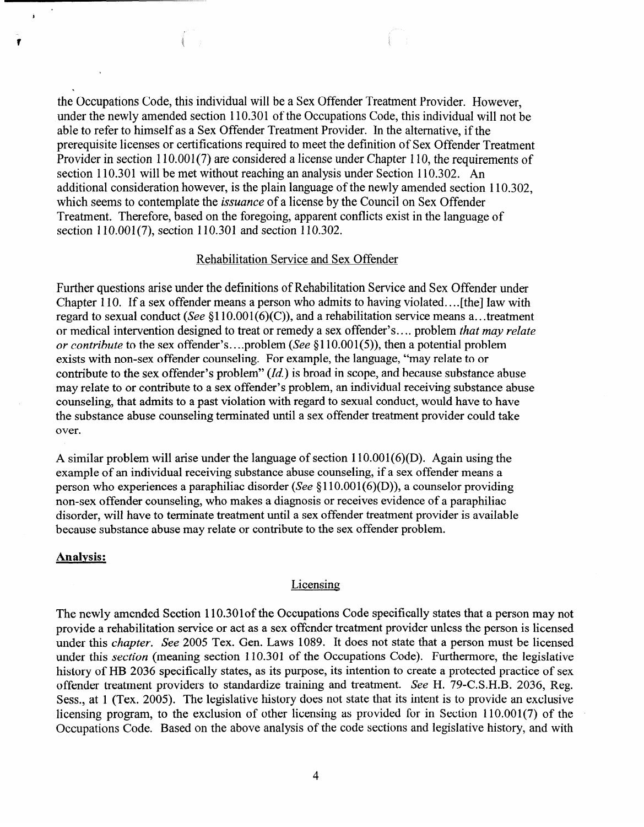the Occupations Code, this individual will be a Sex Offender Treatment Provider. However, under the newly amended section 110.301 of the Occupations Code, this individual will not be able to refer to himself as a Sex Offender Treatment Provider. In the alternative, if the prerequisite licenses or certifications required to meet the definition of Sex Offender Treatment Provider in section 110.001(7) are considered a license under Chapter 110, the requirements of section 110.301 will be met without reaching an analysis under Section 110.302. An additional consideration however, is the plain language of the newly amended section 110.302, which seems to contemplate the *issuance* of a license by the Council on Sex Offender Treatment. Therefore, based on the foregoing, apparent conflicts exist in the language of section 110.001(7), section 110.301 and section 110.302.

### Rehabilitation Service and Sex Offender

Further questions arise under the definitions of Rehabilitation Service and Sex Offender under Chapter 110. If a sex offender means a person who admits to having violated.. . . [the] law with regard to sexual conduct (See  $$110.001(6)(C)$ ), and a rehabilitation service means a...treatment or medical intervention designed to treat or remedy a sex offender's.. . . problem *that may relate or contribute* to the sex offender's....problem (See §110.001(5)), then a potential problem exists with non-sex offender counseling. For example, the language, "may relate to or contribute to the sex offender's problem" *(Id.)* is broad in scope, and because substance abuse may relate to or contribute to a sex offender's problem, an individual receiving substance abuse counseling, that admits to a past violation with regard to sexual conduct, would have to have the substance abuse counseling terminated until a sex offender treatment provider could take over.

A similar problem will arise under the language of section  $110.001(6)(D)$ . Again using the example of an individual receiving substance abuse counseling, if a sex offender means a person who experiences a paraphiliac disorder (See \$110.001(6)(D)), a counselor providing non-sex offender counseling, who makes a diagnosis or receives evidence of a paraphiliac disorder, will have to terminate treatment until a sex offender treatment provider is available because substance abuse may relate or contribute to the sex offender problem.

#### **Analysis:**

 $\ddot{\phantom{a}}$ 

ŧ

#### Licensing

The newly amended Section 110.301 of the Occupations Code specifically states that a person may not provide a rehabilitation service or act as a sex offender treatment provider unless the person is licensed under this *chapter.* See 2005 Tex. Gen. Laws 1089. It does not state that a person must be licensed under this *section* (meaning section 110.301 of the Occupations Code). Furthermore, the legislative history of HB 2036 specifically states, as its purpose, its intention to create a protected practice of sex offender treatment providers to standardize training and treatment. See H. 79-C.S.H.B. 2036, Reg. Sess., at 1 (Tex. 2005). The legislative history does not state that its intent is to provide an exclusive licensing program, to the exclusion of other licensing as provided for in Section 110.001(7) of the Occupations Code. Based on the above analysis of the code sections and legislative history, and with